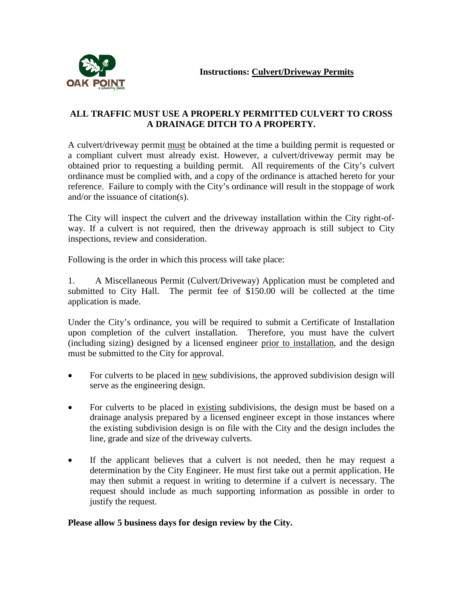

## **ALL TRAFFIC MUST USE A PROPERLY PERMITTED CULVERT TO CROSS A DRAINAGE DITCH TO A PROPERTY.**

A culvert/driveway permit must be obtained at the time a building permit is requested or a compliant culvert must already exist. However, a culvert/driveway permit may be obtained prior to requesting a building permit. All requirements of the City's culvert ordinance must be complied with, and a copy of the ordinance is attached hereto for your reference. Failure to comply with the City's ordinance will result in the stoppage of work and/or the issuance of citation(s).

The City will inspect the culvert and the driveway installation within the City right-ofway. If a culvert is not required, then the driveway approach is still subject to City inspections, review and consideration.

Following is the order in which this process will take place:

1. A Miscellaneous Permit (Culvert/Driveway) Application must be completed and submitted to City Hall. The permit fee of \$150.00 will be collected at the time application is made.

Under the City's ordinance, you will be required to submit a Certificate of Installation upon completion of the culvert installation. Therefore, you must have the culvert (including sizing) designed by a licensed engineer prior to installation, and the design must be submitted to the City for approval.

- For culverts to be placed in new subdivisions, the approved subdivision design will serve as the engineering design.
- For culverts to be placed in existing subdivisions, the design must be based on a drainage analysis prepared by a licensed engineer except in those instances where the existing subdivision design is on file with the City and the design includes the line, grade and size of the driveway culverts.
- If the applicant believes that a culvert is not needed, then he may request a determination by the City Engineer. He must first take out a permit application. He may then submit a request in writing to determine if a culvert is necessary. The request should include as much supporting information as possible in order to justify the request.

## **Please allow 5 business days for design review by the City.**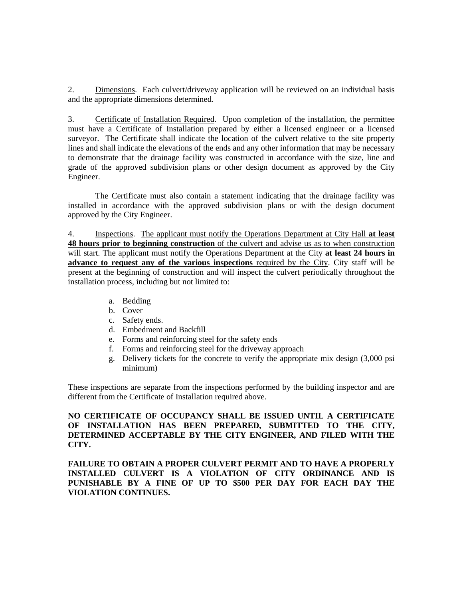2. Dimensions. Each culvert/driveway application will be reviewed on an individual basis and the appropriate dimensions determined.

3. Certificate of Installation Required. Upon completion of the installation, the permittee must have a Certificate of Installation prepared by either a licensed engineer or a licensed surveyor. The Certificate shall indicate the location of the culvert relative to the site property lines and shall indicate the elevations of the ends and any other information that may be necessary to demonstrate that the drainage facility was constructed in accordance with the size, line and grade of the approved subdivision plans or other design document as approved by the City Engineer.

The Certificate must also contain a statement indicating that the drainage facility was installed in accordance with the approved subdivision plans or with the design document approved by the City Engineer.

4. Inspections. The applicant must notify the Operations Department at City Hall **at least 48 hours prior to beginning construction** of the culvert and advise us as to when construction will start. The applicant must notify the Operations Department at the City **at least 24 hours in advance to request any of the various inspections** required by the City. City staff will be present at the beginning of construction and will inspect the culvert periodically throughout the installation process, including but not limited to:

- a. Bedding
- b. Cover
- c. Safety ends.
- d. Embedment and Backfill
- e. Forms and reinforcing steel for the safety ends
- f. Forms and reinforcing steel for the driveway approach
- g. Delivery tickets for the concrete to verify the appropriate mix design (3,000 psi minimum)

These inspections are separate from the inspections performed by the building inspector and are different from the Certificate of Installation required above.

**NO CERTIFICATE OF OCCUPANCY SHALL BE ISSUED UNTIL A CERTIFICATE OF INSTALLATION HAS BEEN PREPARED, SUBMITTED TO THE CITY, DETERMINED ACCEPTABLE BY THE CITY ENGINEER, AND FILED WITH THE CITY.**

**FAILURE TO OBTAIN A PROPER CULVERT PERMIT AND TO HAVE A PROPERLY INSTALLED CULVERT IS A VIOLATION OF CITY ORDINANCE AND IS PUNISHABLE BY A FINE OF UP TO \$500 PER DAY FOR EACH DAY THE VIOLATION CONTINUES.**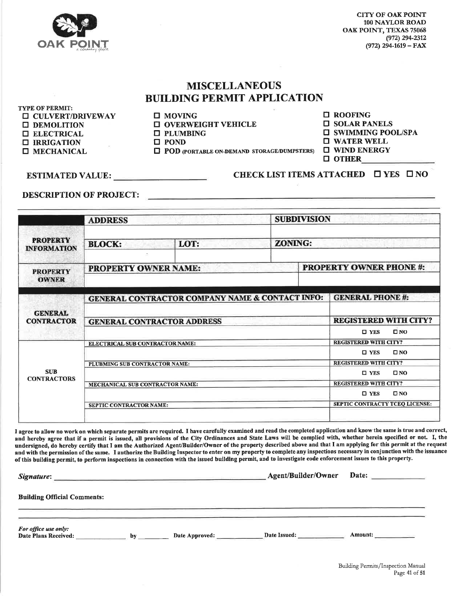

**CITY OF OAK POINT** 100 NAYLOR ROAD OAK POINT, TEXAS 75068  $(972)$  294-2312  $(972)$  294-1619 – FAX

## **MISCELLANEOUS BUILDING PERMIT APPLICATION**

TYPE OF PERMIT: **II CULVERT/DRIVEWAY DEMOLITION**  $\Box$  **ELECTRICAL**  $\Box$  IRRIGATION **II MECHANICAL** 

 $\square$  MOVING  $\Box$  OVERWEIGHT VEHICLE  $\Box$  PLUMBING  $\square$  POND

**T POD** (PORTABLE ON-DEMAND STORAGE/DUMPSTERS)

**D** ROOFING

**O SOLAR PANELS** 

**II SWIMMING POOL/SPA** 

 $\Box$  WATER WELL **O WIND ENERGY** 

**O** OTHER

ESTIMATED VALUE:

CHECK LIST ITEMS ATTACHED  $\Box$  YES  $\Box$  NO

**DESCRIPTION OF PROJECT:** 

|                                                                         | <b>ADDRESS</b>                         |                                                 | <b>SUBDIVISION</b> |                               |                                               |              |  |
|-------------------------------------------------------------------------|----------------------------------------|-------------------------------------------------|--------------------|-------------------------------|-----------------------------------------------|--------------|--|
| <b>PROPERTY</b><br><b>INFORMATION</b>                                   | <b>BLOCK:</b>                          | LOT:                                            |                    | <b>ZONING:</b>                |                                               |              |  |
| <b>PROPERTY</b><br><b>OWNER</b>                                         | <b>PROPERTY OWNER NAME:</b>            |                                                 |                    | <b>PROPERTY OWNER PHONE#:</b> |                                               |              |  |
| <b>GENERAL</b><br><b>CONTRACTOR</b><br><b>SUB</b><br><b>CONTRACTORS</b> |                                        | GENERAL CONTRACTOR COMPANY NAME & CONTACT INFO: |                    |                               | <b>GENERAL PHONE #:</b>                       |              |  |
|                                                                         |                                        | <b>GENERAL CONTRACTOR ADDRESS</b>               |                    |                               | <b>REGISTERED WITH CITY?</b><br>$\square$ YES | $\square$ NO |  |
|                                                                         | ELECTRICAL SUB CONTRACTOR NAME:        |                                                 |                    |                               | <b>REGISTERED WITH CITY?</b>                  |              |  |
|                                                                         | PLUBMING SUB CONTRACTOR NAME:          |                                                 |                    |                               | $\square$ YES<br><b>REGISTERED WITH CITY?</b> | $\square$ NO |  |
|                                                                         |                                        |                                                 |                    |                               | $\square$ YES                                 | $\square$ NO |  |
|                                                                         | <b>MECHANICAL SUB CONTRACTOR NAME:</b> |                                                 |                    |                               | <b>REGISTERED WITH CITY?</b><br>$\square$ YES | $\square$ NO |  |
|                                                                         |                                        |                                                 |                    |                               | SEPTIC CONTRACTY TCEO LICENSE:                |              |  |

I agree to allow no work on which separate permits are required. I have carefully examined and read the completed application and know the same is true and correct, and hereby agree that if a permit is issued, all provisions of the City Ordinances and State Laws will be complied with, whether herein specified or not. I, the undersigned, do hereby certify that I am the Authorized Agent/Builder/Owner of the property described above and that I am applying for this permit at the request and with the permission of the same. I authorize the Building Inspector to enter on my property to complete any inspections necessary in conjunction with the issuance of this building permit, to perform inspections in connection with the issued building permit, and to investigate code enforcement issues to this property.

| Signature:                                   |    | Agent/Builder/Owner | Date:        |         |  |
|----------------------------------------------|----|---------------------|--------------|---------|--|
| <b>Building Official Comments:</b>           |    |                     |              |         |  |
| For office use only:<br>Date Plans Received: | bv | Date Approved:      | Date Issued: | Amount: |  |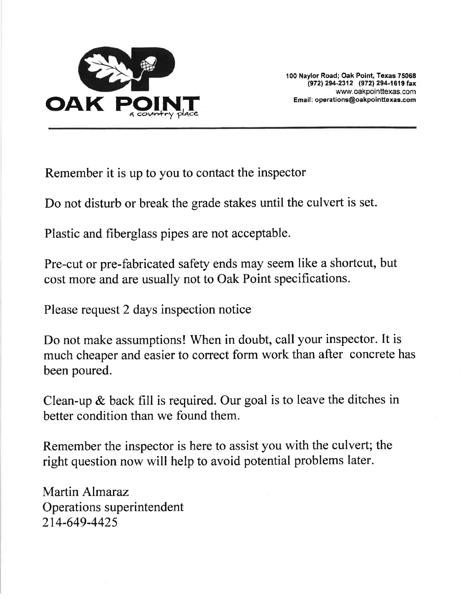

100 Naylor Road; Oak Point, Texas 75068 (972) 294-2312 (972) 294-1619 fax www.oakpointtexas.com Email: operations@oakpointtexas.com

Remember it is up to you to contact the inspector

Do not disturb or break the grade stakes until the culvert is set.

Plastic and fiberglass pipes are not acceptable.

Pre-cut or pre-fabricated safety ends may seem like a shortcut, but cost more and are usually not to Oak Point specifications.

Please request 2 days inspection notice

Do not make assumptions! When in doubt, call your inspector. It is much cheaper and easier to correct form work than after concrete has been poured.

Clean-up  $\&$  back fill is required. Our goal is to leave the ditches in better condition than we found them.

Remember the inspector is here to assist you with the culvert; the right question now will help to avoid potential problems later.

Martin Almaraz Operations superintendent 214-649-4425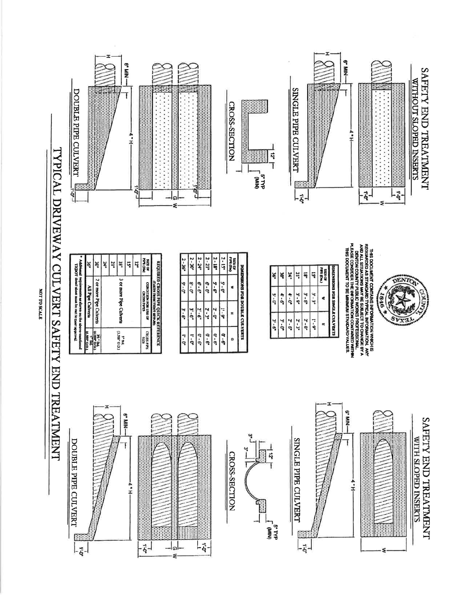|                                     | DOUBLE PIPE CULVERT<br>Ğ                                                                                                                                                                                                                                                          | φ, και το παραστικό παιδεστικό παιδεστικό παιδεστικό παιδεστικό παιδεστικό πως του πολιτικού που π<br>Στην προσπαθεί που προσπάθει στη συνθετική παιδεστική που που πολιτικό που πολιτικό πολιτικό που περιοδοχείο π<br>Στην προσ<br>*<br>干<br>4                                       | ဥ<br>໑<br>ź                                                                                                                                                                                                                                                                      | CROSS-SECTION<br><b>CAINI</b>                                                                                                  | SINGLE PIPE CULVERT<br>ಗ್ಗ                                                                                                              | 踯<br>허                                                                                                                                                             | e-Mik-<br>音<br>$\vec{q}$<br>ē                                                                                                                                                                                                                     | SAFETY END TREATMENT<br><b>WITHOUT SLOPED INSERTS</b> |
|-------------------------------------|-----------------------------------------------------------------------------------------------------------------------------------------------------------------------------------------------------------------------------------------------------------------------------------|----------------------------------------------------------------------------------------------------------------------------------------------------------------------------------------------------------------------------------------------------------------------------------------|----------------------------------------------------------------------------------------------------------------------------------------------------------------------------------------------------------------------------------------------------------------------------------|--------------------------------------------------------------------------------------------------------------------------------|-----------------------------------------------------------------------------------------------------------------------------------------|--------------------------------------------------------------------------------------------------------------------------------------------------------------------|---------------------------------------------------------------------------------------------------------------------------------------------------------------------------------------------------------------------------------------------------|-------------------------------------------------------|
| TYPICAL DRIVEWAY CULVERT SAFETY END | Addronal requirements as slown on the show-menfoned<br>TXDOT detail shoet must be met to meet reproved<br>21r<br>3e<br>ĕ<br>Zd<br>2 or more Pipe Culverts<br>All Pipe Culverts<br>$\frac{\frac{1}{2} \sum_{i=1}^{n} \sum_{j=1}^{n} x_{ij}}{\sum_{i=1}^{n} \sum_{j=1}^{n} x_{ij}}$ | <b>SIZE OF</b><br><b>NEGRET CONSTRUCT AND STRAIGHT CONSTRUCTS</b><br>NEGRET CONSTRUCTION STRAIGHT CONSTRUCTS<br>NEW CONSTRUCTS OF CONSTRUCTS (NEW YORK)<br>18"<br>15r<br>ដ្<br>3 or more Pipe Culverts<br>$\frac{1*8d}{1.500^{\circ} \cdot 0.01.1}$<br><b>HATIS</b><br>Fiair a Sichard | $2 - 18^n$<br>$2 - 24$<br>$2 - 21$ <sup>1</sup><br>2-30"<br>$2 - 36$<br>9- U<br>$8 - 0m$<br>$G - G^n$<br>$6 - 0$<br>$5 - 6$<br>$2 - 9$<br>2'-3"<br>$3^{\circ}$ - G<br>$2 - 6^{+}$<br>$3 - 6$<br>$\mathbf{0}$ - $\mathbf{6}^\bullet$<br>$0 - 6$<br>$0 - 6$<br>$-0 - 1$<br>$L - G$ | $2 - 15$<br><b>SIZE OF</b><br>PUR (Dia)<br>DIMENBIONS FOR DOUBLE CULVERTS<br>$5 - 0$<br>€<br>$11 - 99$<br>×.<br>$T - 6''$<br>٥ | $21^{\circ}$<br>ă<br>Ę<br>z<br>$3 - 9$<br>$\psi\cdot 0^\circ$<br>$S - U^*$<br>$4 - 6$<br>$2^9 - 6^9$<br>$2 - 3n$<br>ی<br>- 0<br>$3 - 6$ | <b>DIMENSIONS BOR SIDULT CULVERTS</b><br><b>SIZES</b><br>PIER (Dia.)<br>្បូ<br>ត្<br>$3 - 8$<br>ي -<br>يا<br>¢<br>$2^{\circ} - 0^{\circ}$<br>$1 - 9^n$<br>$\equiv$ | THIS DOCUMENT CONTAINS INFORMATION WHOLE IS A<br>REAL STATE AND MANUS WAY BE SUBLICT TO CHANGE BY A<br>AND ALL STILATORS MAY BE SUBLICT TO CHANGE BY A<br>DELIVANCION TO FURLY AND MANUS PROFESSIONAL<br>DELIVANCION TO BE MINIMAN STANDAR<br>946 | COUNTY                                                |
| TREATMENT                           | DOUBLE PIPE CULVERT<br>$-\vec{\xi}$ <sup>-</sup>                                                                                                                                                                                                                                  | $-WIN -$<br>$\frac{1}{7}$<br>$\vec{\xi}$ -                                                                                                                                                                                                                                             | $\vec{q}$<br>G                                                                                                                                                                                                                                                                   | CROSS-SECTION                                                                                                                  | SINGLE PIPE CULVERT<br>ಧ<br><b>CATYP</b>                                                                                                | 脚脚<br>$-5$                                                                                                                                                         | $-$ Nin- $-$<br>⇡                                                                                                                                                                                                                                 | SAFETY END TREATMENT<br>WITH SLOPED INSERTS           |

 $\frac{x}{ }$ 

NOT TO SCALE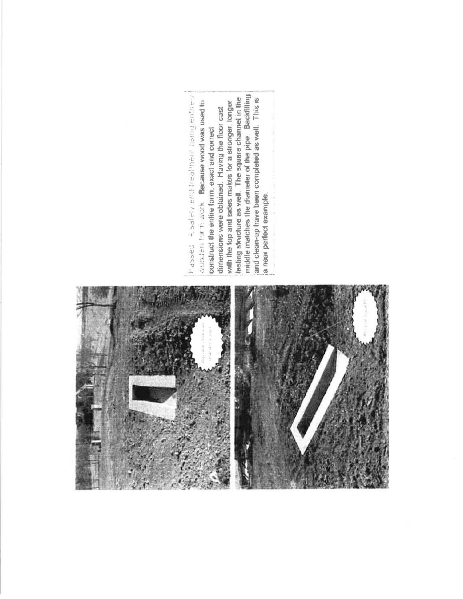

middle matches the diameter of the pipe. Backfilling end the property of the completed with the complete the complete the complete three completes of the complete three completes of the complete three completes of the complete three completes complete three complete three co lasting structure as well. The square channel in the and clean-up have been completed as well. This is wooden for m work. Because wood was used to with the top and sides makes for a stronger, longer dimensions were obtained. Having the floor cast construct the entire form, exact and correct a near perfect example.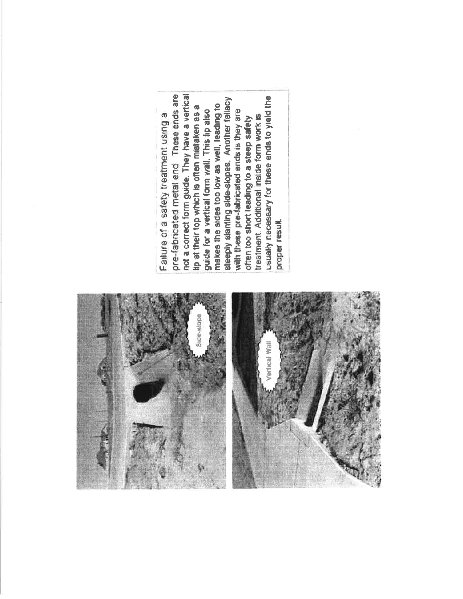

pre-fabricated metal end These ends are not a correct form guide. They have a vertical usually necessary for these ends to yield the steeply slanting side-slopes. Another fallacy makes the sides too low as well, leading to lip at their top which is often mistaken as a with these pre-fabricated ends is they are guide for a vertical form wall. This lip also Failure of a safety treatment using a treatment. Additional inside form work is often too short leading to a steep safety proper result.